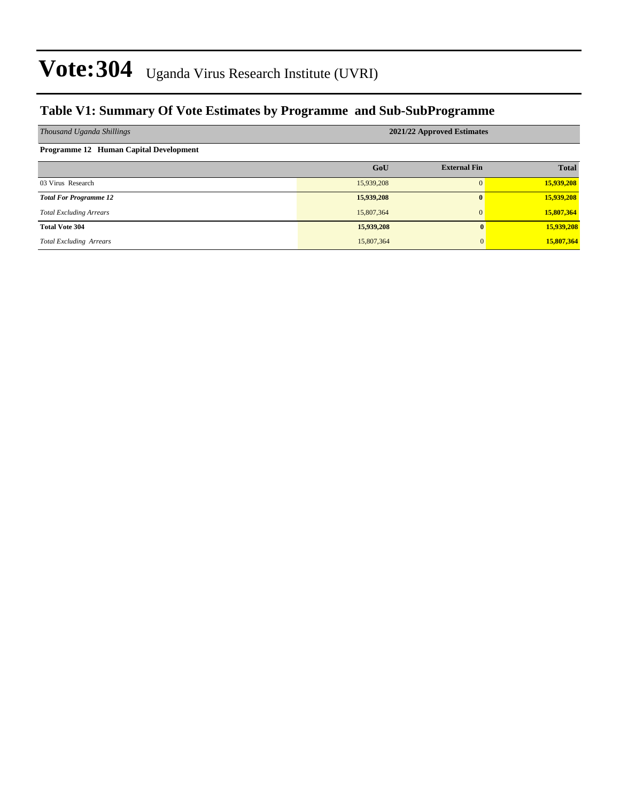### **Table V1: Summary Of Vote Estimates by Programme and Sub-SubProgramme**

| Thousand Uganda Shillings              | 2021/22 Approved Estimates |                     |              |  |  |  |  |  |
|----------------------------------------|----------------------------|---------------------|--------------|--|--|--|--|--|
| Programme 12 Human Capital Development |                            |                     |              |  |  |  |  |  |
|                                        | GoU                        | <b>External Fin</b> | <b>Total</b> |  |  |  |  |  |
| 03 Virus Research                      | 15,939,208                 |                     | 15,939,208   |  |  |  |  |  |
| <b>Total For Programme 12</b>          | 15,939,208                 | 0                   | 15,939,208   |  |  |  |  |  |
| <b>Total Excluding Arrears</b>         | 15,807,364                 |                     | 15,807,364   |  |  |  |  |  |
| <b>Total Vote 304</b>                  | 15,939,208                 | 0                   | 15,939,208   |  |  |  |  |  |
| <b>Total Excluding Arrears</b>         | 15,807,364                 | $\overline{0}$      | 15,807,364   |  |  |  |  |  |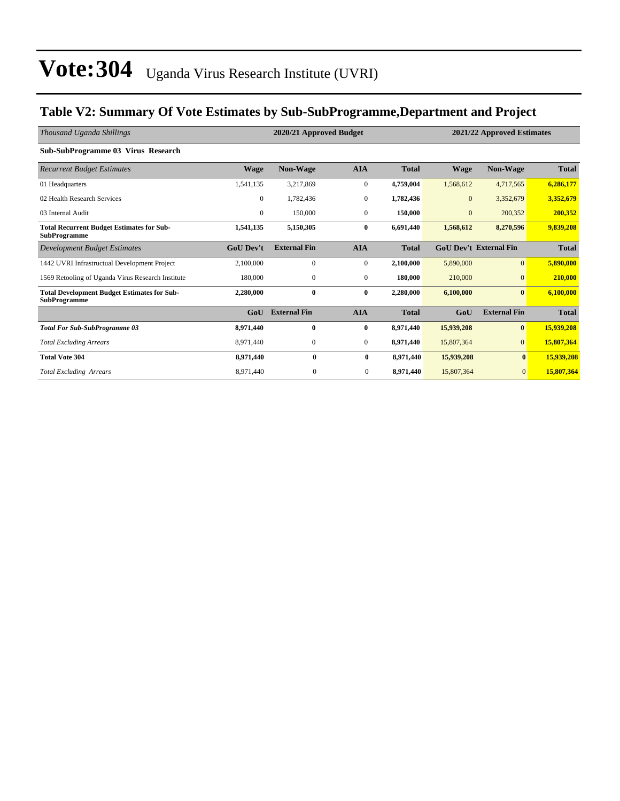### **Table V2: Summary Of Vote Estimates by Sub-SubProgramme,Department and Project**

| Thousand Uganda Shillings                                                 |                  | 2020/21 Approved Budget |                  |              | 2021/22 Approved Estimates |                               |              |
|---------------------------------------------------------------------------|------------------|-------------------------|------------------|--------------|----------------------------|-------------------------------|--------------|
| Sub-SubProgramme 03 Virus Research                                        |                  |                         |                  |              |                            |                               |              |
| <b>Recurrent Budget Estimates</b>                                         | <b>Wage</b>      | <b>Non-Wage</b>         | <b>AIA</b>       | <b>Total</b> | <b>Wage</b>                | Non-Wage                      | <b>Total</b> |
| 01 Headquarters                                                           | 1,541,135        | 3,217,869               | $\boldsymbol{0}$ | 4,759,004    | 1,568,612                  | 4,717,565                     | 6,286,177    |
| 02 Health Research Services                                               | $\overline{0}$   | 1,782,436               | $\boldsymbol{0}$ | 1,782,436    | $\mathbf{0}$               | 3,352,679                     | 3,352,679    |
| 03 Internal Audit                                                         | $\overline{0}$   | 150,000                 | $\mathbf{0}$     | 150,000      | $\mathbf{0}$               | 200,352                       | 200,352      |
| <b>Total Recurrent Budget Estimates for Sub-</b><br><b>SubProgramme</b>   | 1,541,135        | 5,150,305               | $\bf{0}$         | 6,691,440    | 1,568,612                  | 8,270,596                     | 9,839,208    |
| Development Budget Estimates                                              | <b>GoU</b> Dev't | <b>External Fin</b>     | <b>AIA</b>       | <b>Total</b> |                            | <b>GoU Dev't External Fin</b> | <b>Total</b> |
| 1442 UVRI Infrastructual Development Project                              | 2,100,000        | $\mathbf{0}$            | $\mathbf{0}$     | 2,100,000    | 5,890,000                  | $\overline{0}$                | 5,890,000    |
| 1569 Retooling of Uganda Virus Research Institute                         | 180,000          | $\mathbf{0}$            | $\boldsymbol{0}$ | 180,000      | 210,000                    | $\overline{0}$                | 210,000      |
| <b>Total Development Budget Estimates for Sub-</b><br><b>SubProgramme</b> | 2,280,000        | $\bf{0}$                | $\bf{0}$         | 2,280,000    | 6,100,000                  | $\bf{0}$                      | 6,100,000    |
|                                                                           | GoU              | <b>External Fin</b>     | <b>AIA</b>       | <b>Total</b> | GoU                        | <b>External Fin</b>           | <b>Total</b> |
| <b>Total For Sub-SubProgramme 03</b>                                      | 8,971,440        | $\bf{0}$                | $\bf{0}$         | 8,971,440    | 15,939,208                 | $\bf{0}$                      | 15,939,208   |
| <b>Total Excluding Arrears</b>                                            | 8,971,440        | $\mathbf{0}$            | $\mathbf{0}$     | 8,971,440    | 15,807,364                 | $\overline{0}$                | 15,807,364   |
| <b>Total Vote 304</b>                                                     | 8,971,440        | $\bf{0}$                | $\bf{0}$         | 8,971,440    | 15,939,208                 | $\bf{0}$                      | 15,939,208   |
| <b>Total Excluding Arrears</b>                                            | 8,971,440        | $\mathbf{0}$            | $\overline{0}$   | 8,971,440    | 15,807,364                 | $\overline{0}$                | 15,807,364   |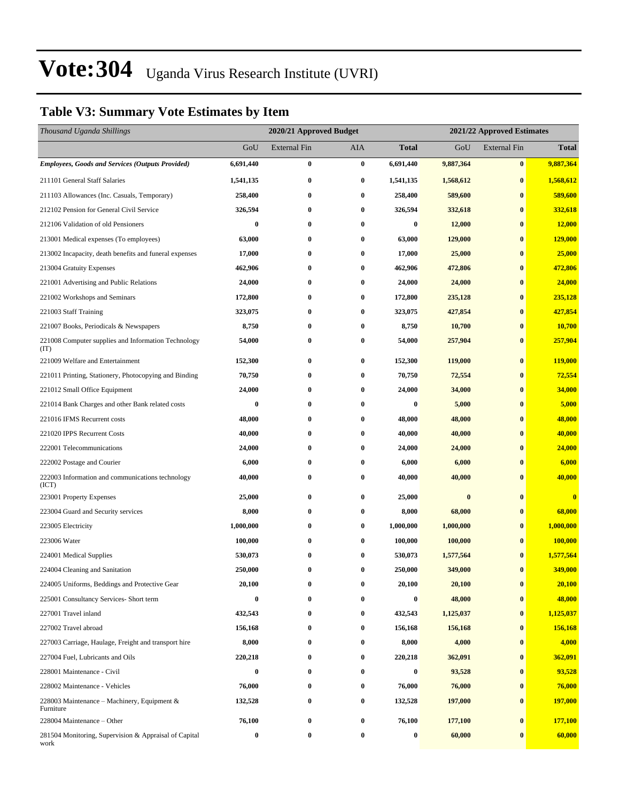### **Table V3: Summary Vote Estimates by Item**

| Thousand Uganda Shillings                                     |           | 2020/21 Approved Budget<br>2021/22 Approved Estimates |                  |              |           |                     |              |
|---------------------------------------------------------------|-----------|-------------------------------------------------------|------------------|--------------|-----------|---------------------|--------------|
|                                                               | GoU       | <b>External Fin</b>                                   | AIA              | <b>Total</b> | GoU       | <b>External Fin</b> | <b>Total</b> |
| <b>Employees, Goods and Services (Outputs Provided)</b>       | 6,691,440 | $\bf{0}$                                              | $\bf{0}$         | 6,691,440    | 9,887,364 | $\bf{0}$            | 9,887,364    |
| 211101 General Staff Salaries                                 | 1,541,135 | $\bf{0}$                                              | $\bf{0}$         | 1,541,135    | 1,568,612 | $\bf{0}$            | 1,568,612    |
| 211103 Allowances (Inc. Casuals, Temporary)                   | 258,400   | $\bf{0}$                                              | $\bf{0}$         | 258,400      | 589,600   | $\bf{0}$            | 589,600      |
| 212102 Pension for General Civil Service                      | 326,594   | 0                                                     | $\bf{0}$         | 326,594      | 332,618   | $\bf{0}$            | 332,618      |
| 212106 Validation of old Pensioners                           | $\bf{0}$  | $\bf{0}$                                              | $\bf{0}$         | $\bf{0}$     | 12,000    | $\bf{0}$            | 12,000       |
| 213001 Medical expenses (To employees)                        | 63,000    | 0                                                     | $\bf{0}$         | 63,000       | 129,000   | $\bf{0}$            | 129,000      |
| 213002 Incapacity, death benefits and funeral expenses        | 17,000    | $\bf{0}$                                              | $\bf{0}$         | 17,000       | 25,000    | $\bf{0}$            | 25,000       |
| 213004 Gratuity Expenses                                      | 462,906   | $\bf{0}$                                              | $\bf{0}$         | 462,906      | 472,806   | $\bf{0}$            | 472,806      |
| 221001 Advertising and Public Relations                       | 24,000    | 0                                                     | $\bf{0}$         | 24,000       | 24,000    | $\bf{0}$            | 24,000       |
| 221002 Workshops and Seminars                                 | 172,800   | $\bf{0}$                                              | $\bf{0}$         | 172,800      | 235,128   | $\bf{0}$            | 235,128      |
| 221003 Staff Training                                         | 323,075   | 0                                                     | $\bf{0}$         | 323,075      | 427,854   | $\bf{0}$            | 427,854      |
| 221007 Books, Periodicals & Newspapers                        | 8,750     | $\bf{0}$                                              | $\bf{0}$         | 8,750        | 10,700    | $\bf{0}$            | 10,700       |
| 221008 Computer supplies and Information Technology<br>(TT)   | 54,000    | $\bf{0}$                                              | 0                | 54,000       | 257,904   | $\bf{0}$            | 257,904      |
| 221009 Welfare and Entertainment                              | 152,300   | $\bf{0}$                                              | $\bf{0}$         | 152,300      | 119,000   | $\bf{0}$            | 119,000      |
| 221011 Printing, Stationery, Photocopying and Binding         | 70,750    | $\bf{0}$                                              | $\bf{0}$         | 70,750       | 72,554    | $\bf{0}$            | 72,554       |
| 221012 Small Office Equipment                                 | 24,000    | $\bf{0}$                                              | $\bf{0}$         | 24,000       | 34,000    | $\bf{0}$            | 34,000       |
| 221014 Bank Charges and other Bank related costs              | $\bf{0}$  | $\bf{0}$                                              | $\bf{0}$         | 0            | 5,000     | $\bf{0}$            | 5,000        |
| 221016 IFMS Recurrent costs                                   | 48,000    | $\bf{0}$                                              | $\bf{0}$         | 48,000       | 48,000    | $\bf{0}$            | 48,000       |
| 221020 IPPS Recurrent Costs                                   | 40,000    | $\bf{0}$                                              | $\bf{0}$         | 40,000       | 40,000    | $\bf{0}$            | 40,000       |
| 222001 Telecommunications                                     | 24,000    | 0                                                     | $\bf{0}$         | 24,000       | 24,000    | $\bf{0}$            | 24,000       |
| 222002 Postage and Courier                                    | 6,000     | $\bf{0}$                                              | $\bf{0}$         | 6,000        | 6,000     | $\bf{0}$            | 6,000        |
| 222003 Information and communications technology<br>(ICT)     | 40,000    | $\bf{0}$                                              | 0                | 40,000       | 40,000    | $\bf{0}$            | 40,000       |
| 223001 Property Expenses                                      | 25,000    | $\bf{0}$                                              | 0                | 25,000       | $\bf{0}$  | $\bf{0}$            | $\bf{0}$     |
| 223004 Guard and Security services                            | 8,000     | $\bf{0}$                                              | $\bf{0}$         | 8,000        | 68,000    | $\bf{0}$            | 68,000       |
| 223005 Electricity                                            | 1,000,000 | $\bf{0}$                                              | $\bf{0}$         | 1,000,000    | 1,000,000 | $\bf{0}$            | 1,000,000    |
| 223006 Water                                                  | 100,000   | 0                                                     | $\bf{0}$         | 100,000      | 100,000   | $\bf{0}$            | 100,000      |
| 224001 Medical Supplies                                       | 530,073   | $\bf{0}$                                              | $\bf{0}$         | 530,073      | 1,577,564 | $\bf{0}$            | 1,577,564    |
| 224004 Cleaning and Sanitation                                | 250,000   | $\bf{0}$                                              | 0                | 250,000      | 349,000   | $\bf{0}$            | 349,000      |
| 224005 Uniforms, Beddings and Protective Gear                 | 20,100    | 0                                                     | $\bf{0}$         | 20,100       | 20,100    | $\bf{0}$            | 20,100       |
| 225001 Consultancy Services- Short term                       | $\bf{0}$  | 0                                                     | $\bf{0}$         | 0            | 48,000    | $\bf{0}$            | 48,000       |
| 227001 Travel inland                                          | 432,543   | 0                                                     | $\boldsymbol{0}$ | 432,543      | 1,125,037 | $\bf{0}$            | 1,125,037    |
| 227002 Travel abroad                                          | 156,168   | $\bf{0}$                                              | $\bf{0}$         | 156,168      | 156,168   | $\bf{0}$            | 156,168      |
| 227003 Carriage, Haulage, Freight and transport hire          | 8,000     | 0                                                     | 0                | 8,000        | 4,000     | $\bf{0}$            | 4,000        |
| 227004 Fuel, Lubricants and Oils                              | 220,218   | 0                                                     | $\bf{0}$         | 220,218      | 362,091   | $\bf{0}$            | 362,091      |
| 228001 Maintenance - Civil                                    | $\bf{0}$  | $\bf{0}$                                              | $\bf{0}$         | 0            | 93,528    | $\bf{0}$            | 93,528       |
| 228002 Maintenance - Vehicles                                 | 76,000    | 0                                                     | $\bf{0}$         | 76,000       | 76,000    | $\bf{0}$            | 76,000       |
| 228003 Maintenance – Machinery, Equipment $\&$<br>Furniture   | 132,528   | $\bf{0}$                                              | $\bf{0}$         | 132,528      | 197,000   | $\bf{0}$            | 197,000      |
| 228004 Maintenance - Other                                    | 76,100    | $\bf{0}$                                              | $\bf{0}$         | 76,100       | 177,100   | $\bf{0}$            | 177,100      |
| 281504 Monitoring, Supervision & Appraisal of Capital<br>work | 0         | $\bf{0}$                                              | $\bf{0}$         | 0            | 60,000    | $\bf{0}$            | 60,000       |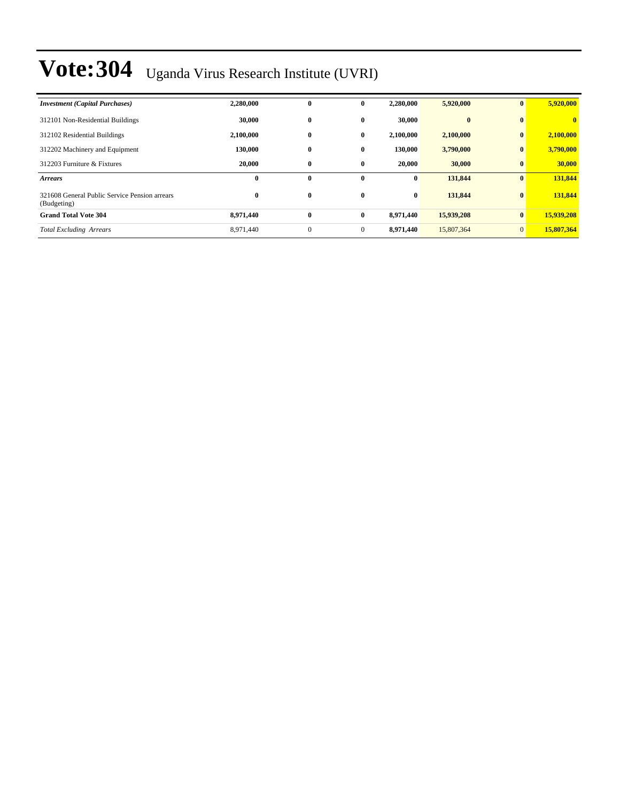| <b>Investment</b> (Capital Purchases)                        | 2,280,000 | 0              | $\bf{0}$     | 2,280,000 | 5,920,000  | $\mathbf{0}$ | 5,920,000    |
|--------------------------------------------------------------|-----------|----------------|--------------|-----------|------------|--------------|--------------|
| 312101 Non-Residential Buildings                             | 30,000    | $\bf{0}$       | 0            | 30,000    | $\bf{0}$   | $\mathbf{0}$ | $\mathbf{0}$ |
| 312102 Residential Buildings                                 | 2,100,000 | 0              | $\bf{0}$     | 2,100,000 | 2,100,000  | $\bf{0}$     | 2,100,000    |
| 312202 Machinery and Equipment                               | 130,000   | 0              | $\bf{0}$     | 130,000   | 3,790,000  | $\mathbf{0}$ | 3,790,000    |
| 312203 Furniture & Fixtures                                  | 20,000    | $\bf{0}$       | $\bf{0}$     | 20,000    | 30,000     | $\mathbf{0}$ | 30,000       |
| <b>Arrears</b>                                               | $\bf{0}$  | $\bf{0}$       | 0            | $\bf{0}$  | 131,844    | $\mathbf{0}$ | 131,844      |
| 321608 General Public Service Pension arrears<br>(Budgeting) | $\bf{0}$  | $\bf{0}$       | $\bf{0}$     | $\bf{0}$  | 131,844    | $\mathbf{0}$ | 131,844      |
| <b>Grand Total Vote 304</b>                                  | 8,971,440 | $\bf{0}$       | $\bf{0}$     | 8,971,440 | 15,939,208 | $\mathbf{0}$ | 15,939,208   |
| <b>Total Excluding Arrears</b>                               | 8.971.440 | $\overline{0}$ | $\mathbf{0}$ | 8,971,440 | 15,807,364 | $\Omega$     | 15,807,364   |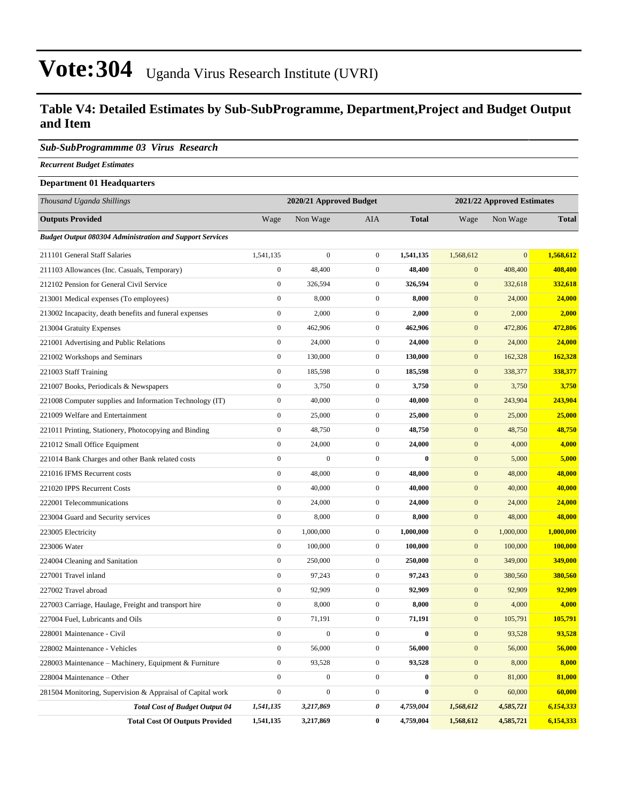### **Table V4: Detailed Estimates by Sub-SubProgramme, Department,Project and Budget Output and Item**

#### *Sub-SubProgrammme 03 Virus Research*

*Recurrent Budget Estimates*

#### **Department 01 Headquarters**

| Thousand Uganda Shillings                                       |                  | 2020/21 Approved Budget |                  |              |                  | 2021/22 Approved Estimates |              |
|-----------------------------------------------------------------|------------------|-------------------------|------------------|--------------|------------------|----------------------------|--------------|
| <b>Outputs Provided</b>                                         | Wage             | Non Wage                | <b>AIA</b>       | <b>Total</b> | Wage             | Non Wage                   | <b>Total</b> |
| <b>Budget Output 080304 Administration and Support Services</b> |                  |                         |                  |              |                  |                            |              |
| 211101 General Staff Salaries                                   | 1,541,135        | $\boldsymbol{0}$        | $\overline{0}$   | 1,541,135    | 1,568,612        | $\mathbf{0}$               | 1,568,612    |
| 211103 Allowances (Inc. Casuals, Temporary)                     | $\boldsymbol{0}$ | 48,400                  | $\mathbf{0}$     | 48,400       | $\mathbf{0}$     | 408,400                    | 408,400      |
| 212102 Pension for General Civil Service                        | $\boldsymbol{0}$ | 326,594                 | $\mathbf{0}$     | 326,594      | $\mathbf{0}$     | 332,618                    | 332,618      |
| 213001 Medical expenses (To employees)                          | $\mathbf{0}$     | 8,000                   | $\overline{0}$   | 8,000        | $\mathbf{0}$     | 24,000                     | 24,000       |
| 213002 Incapacity, death benefits and funeral expenses          | $\boldsymbol{0}$ | 2,000                   | $\overline{0}$   | 2,000        | $\mathbf{0}$     | 2,000                      | 2,000        |
| 213004 Gratuity Expenses                                        | $\boldsymbol{0}$ | 462,906                 | $\mathbf{0}$     | 462,906      | $\mathbf{0}$     | 472,806                    | 472,806      |
| 221001 Advertising and Public Relations                         | $\boldsymbol{0}$ | 24,000                  | $\mathbf{0}$     | 24,000       | $\mathbf{0}$     | 24,000                     | 24,000       |
| 221002 Workshops and Seminars                                   | $\boldsymbol{0}$ | 130,000                 | $\mathbf{0}$     | 130,000      | $\mathbf{0}$     | 162,328                    | 162,328      |
| 221003 Staff Training                                           | $\mathbf{0}$     | 185,598                 | $\overline{0}$   | 185,598      | $\mathbf{0}$     | 338,377                    | 338,377      |
| 221007 Books, Periodicals & Newspapers                          | $\boldsymbol{0}$ | 3,750                   | $\overline{0}$   | 3,750        | $\mathbf{0}$     | 3,750                      | 3,750        |
| 221008 Computer supplies and Information Technology (IT)        | $\boldsymbol{0}$ | 40,000                  | $\overline{0}$   | 40,000       | $\mathbf{0}$     | 243,904                    | 243,904      |
| 221009 Welfare and Entertainment                                | $\boldsymbol{0}$ | 25,000                  | $\mathbf{0}$     | 25,000       | $\mathbf{0}$     | 25,000                     | 25,000       |
| 221011 Printing, Stationery, Photocopying and Binding           | $\boldsymbol{0}$ | 48,750                  | $\mathbf{0}$     | 48,750       | $\mathbf{0}$     | 48,750                     | 48,750       |
| 221012 Small Office Equipment                                   | $\boldsymbol{0}$ | 24,000                  | $\overline{0}$   | 24,000       | $\mathbf{0}$     | 4,000                      | 4,000        |
| 221014 Bank Charges and other Bank related costs                | $\boldsymbol{0}$ | $\boldsymbol{0}$        | $\overline{0}$   | $\bf{0}$     | $\mathbf{0}$     | 5,000                      | 5,000        |
| 221016 IFMS Recurrent costs                                     | $\boldsymbol{0}$ | 48,000                  | $\overline{0}$   | 48,000       | $\mathbf{0}$     | 48,000                     | 48,000       |
| 221020 IPPS Recurrent Costs                                     | $\mathbf{0}$     | 40,000                  | $\overline{0}$   | 40,000       | $\mathbf{0}$     | 40,000                     | 40,000       |
| 222001 Telecommunications                                       | $\boldsymbol{0}$ | 24,000                  | $\mathbf{0}$     | 24,000       | $\mathbf{0}$     | 24,000                     | 24,000       |
| 223004 Guard and Security services                              | $\boldsymbol{0}$ | 8,000                   | $\overline{0}$   | 8,000        | $\mathbf{0}$     | 48,000                     | 48,000       |
| 223005 Electricity                                              | $\boldsymbol{0}$ | 1,000,000               | $\mathbf{0}$     | 1,000,000    | $\mathbf{0}$     | 1,000,000                  | 1,000,000    |
| 223006 Water                                                    | $\boldsymbol{0}$ | 100,000                 | $\boldsymbol{0}$ | 100,000      | $\mathbf{0}$     | 100,000                    | 100,000      |
| 224004 Cleaning and Sanitation                                  | $\boldsymbol{0}$ | 250,000                 | $\mathbf{0}$     | 250,000      | $\mathbf{0}$     | 349,000                    | 349,000      |
| 227001 Travel inland                                            | $\boldsymbol{0}$ | 97,243                  | $\mathbf{0}$     | 97,243       | $\mathbf{0}$     | 380,560                    | 380,560      |
| 227002 Travel abroad                                            | $\mathbf{0}$     | 92,909                  | $\overline{0}$   | 92,909       | $\mathbf{0}$     | 92,909                     | 92,909       |
| 227003 Carriage, Haulage, Freight and transport hire            | $\boldsymbol{0}$ | 8,000                   | $\overline{0}$   | 8,000        | $\mathbf{0}$     | 4,000                      | 4,000        |
| 227004 Fuel, Lubricants and Oils                                | $\boldsymbol{0}$ | 71,191                  | $\boldsymbol{0}$ | 71,191       | $\mathbf{0}$     | 105,791                    | 105,791      |
| 228001 Maintenance - Civil                                      | $\boldsymbol{0}$ | $\boldsymbol{0}$        | $\mathbf{0}$     | $\bf{0}$     | $\mathbf{0}$     | 93,528                     | 93,528       |
| 228002 Maintenance - Vehicles                                   | $\boldsymbol{0}$ | 56,000                  | $\boldsymbol{0}$ | 56,000       | $\boldsymbol{0}$ | 56,000                     | 56,000       |
| 228003 Maintenance – Machinery, Equipment & Furniture           | $\boldsymbol{0}$ | 93,528                  | $\boldsymbol{0}$ | 93,528       | $\boldsymbol{0}$ | 8,000                      | 8,000        |
| 228004 Maintenance – Other                                      | $\boldsymbol{0}$ | $\boldsymbol{0}$        | $\boldsymbol{0}$ | $\bf{0}$     | $\mathbf{0}$     | 81,000                     | 81,000       |
| 281504 Monitoring, Supervision & Appraisal of Capital work      | $\boldsymbol{0}$ | $\boldsymbol{0}$        | $\boldsymbol{0}$ | $\bf{0}$     | $\mathbf{0}$     | 60,000                     | 60,000       |
| <b>Total Cost of Budget Output 04</b>                           | 1,541,135        | 3,217,869               | 0                | 4,759,004    | 1,568,612        | 4,585,721                  | 6,154,333    |
| <b>Total Cost Of Outputs Provided</b>                           | 1,541,135        | 3,217,869               | $\bf{0}$         | 4,759,004    | 1,568,612        | 4,585,721                  | 6,154,333    |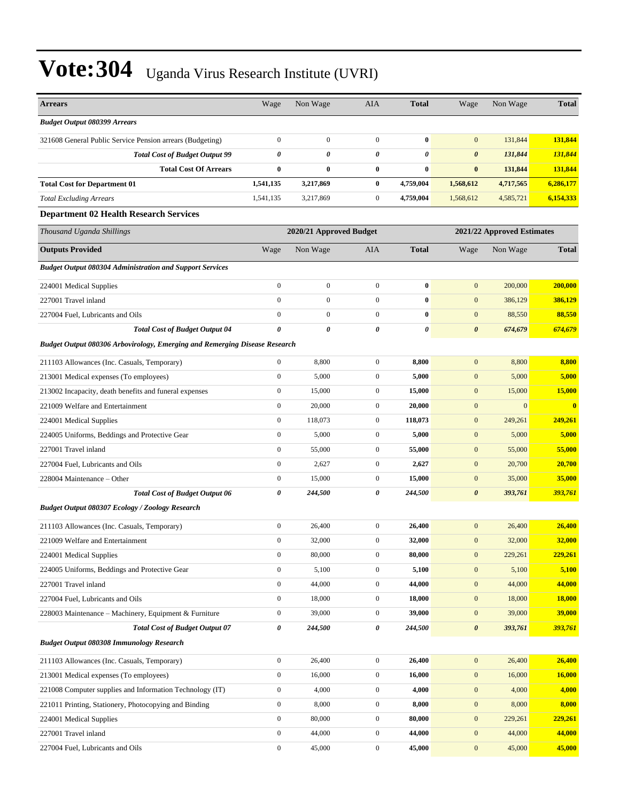| <b>Arrears</b>                                                             | Wage                  | Non Wage                | AIA              | <b>Total</b> | Wage                  | Non Wage                   | <b>Total</b> |  |
|----------------------------------------------------------------------------|-----------------------|-------------------------|------------------|--------------|-----------------------|----------------------------|--------------|--|
| <b>Budget Output 080399 Arrears</b>                                        |                       |                         |                  |              |                       |                            |              |  |
| 321608 General Public Service Pension arrears (Budgeting)                  | $\mathbf{0}$          | $\boldsymbol{0}$        | $\overline{0}$   | $\bf{0}$     | $\overline{0}$        | 131,844                    | 131,844      |  |
| <b>Total Cost of Budget Output 99</b>                                      | $\boldsymbol{\theta}$ | 0                       | 0                | 0            | $\boldsymbol{\theta}$ | 131,844                    | 131,844      |  |
| <b>Total Cost Of Arrears</b>                                               | $\bf{0}$              | 0                       | $\bf{0}$         | $\bf{0}$     | $\bf{0}$              | 131,844                    | 131,844      |  |
| <b>Total Cost for Department 01</b>                                        | 1,541,135             | 3,217,869               | $\bf{0}$         | 4,759,004    | 1,568,612             | 4,717,565                  | 6,286,177    |  |
| <b>Total Excluding Arrears</b>                                             | 1,541,135             | 3,217,869               | $\mathbf{0}$     | 4,759,004    | 1,568,612             | 4,585,721                  | 6,154,333    |  |
| <b>Department 02 Health Research Services</b>                              |                       |                         |                  |              |                       |                            |              |  |
| Thousand Uganda Shillings                                                  |                       | 2020/21 Approved Budget |                  |              |                       | 2021/22 Approved Estimates |              |  |
| <b>Outputs Provided</b>                                                    | Wage                  | Non Wage                | <b>AIA</b>       | <b>Total</b> | Wage                  | Non Wage                   | <b>Total</b> |  |
| <b>Budget Output 080304 Administration and Support Services</b>            |                       |                         |                  |              |                       |                            |              |  |
| 224001 Medical Supplies                                                    | $\boldsymbol{0}$      | $\boldsymbol{0}$        | $\overline{0}$   | $\bf{0}$     | $\mathbf{0}$          | 200,000                    | 200,000      |  |
| 227001 Travel inland                                                       | $\mathbf{0}$          | $\boldsymbol{0}$        | $\overline{0}$   | $\bf{0}$     | $\mathbf{0}$          | 386,129                    | 386,129      |  |
| 227004 Fuel, Lubricants and Oils                                           | $\boldsymbol{0}$      | $\boldsymbol{0}$        | $\overline{0}$   | $\bf{0}$     | $\mathbf{0}$          | 88,550                     | 88,550       |  |
| <b>Total Cost of Budget Output 04</b>                                      | $\boldsymbol{\theta}$ | 0                       | 0                | 0            | $\boldsymbol{\theta}$ | 674,679                    | 674,679      |  |
| Budget Output 080306 Arbovirology, Emerging and Remerging Disease Research |                       |                         |                  |              |                       |                            |              |  |
| 211103 Allowances (Inc. Casuals, Temporary)                                | $\boldsymbol{0}$      | 8,800                   | $\overline{0}$   | 8,800        | $\mathbf{0}$          | 8,800                      | 8,800        |  |
| 213001 Medical expenses (To employees)                                     | $\boldsymbol{0}$      | 5,000                   | $\overline{0}$   | 5,000        | $\mathbf{0}$          | 5,000                      | 5,000        |  |
| 213002 Incapacity, death benefits and funeral expenses                     | $\mathbf{0}$          | 15,000                  | $\mathbf{0}$     | 15,000       | $\mathbf{0}$          | 15,000                     | 15,000       |  |
| 221009 Welfare and Entertainment                                           | $\boldsymbol{0}$      | 20,000                  | $\mathbf{0}$     | 20,000       | $\mathbf{0}$          | $\mathbf{0}$               | $\bf{0}$     |  |
| 224001 Medical Supplies                                                    | $\mathbf{0}$          | 118,073                 | $\mathbf{0}$     | 118,073      | $\mathbf{0}$          | 249,261                    | 249,261      |  |
| 224005 Uniforms, Beddings and Protective Gear                              | $\boldsymbol{0}$      | 5,000                   | $\mathbf{0}$     | 5,000        | $\mathbf{0}$          | 5,000                      | 5,000        |  |
| 227001 Travel inland                                                       | $\boldsymbol{0}$      | 55,000                  | $\mathbf{0}$     | 55,000       | $\mathbf{0}$          | 55,000                     | 55,000       |  |
| 227004 Fuel, Lubricants and Oils                                           | $\mathbf{0}$          | 2,627                   | $\mathbf{0}$     | 2,627        | $\mathbf{0}$          | 20,700                     | 20,700       |  |
| 228004 Maintenance – Other                                                 | $\boldsymbol{0}$      | 15,000                  | $\mathbf{0}$     | 15,000       | $\mathbf{0}$          | 35,000                     | 35,000       |  |
| <b>Total Cost of Budget Output 06</b>                                      | 0                     | 244,500                 | 0                | 244,500      | $\boldsymbol{\theta}$ | 393,761                    | 393,761      |  |
| <b>Budget Output 080307 Ecology / Zoology Research</b>                     |                       |                         |                  |              |                       |                            |              |  |
| 211103 Allowances (Inc. Casuals, Temporary)                                | $\boldsymbol{0}$      | 26,400                  | $\mathbf{0}$     | 26,400       | $\mathbf{0}$          | 26,400                     | 26,400       |  |
| 221009 Welfare and Entertainment                                           | $\mathbf{0}$          | 32,000                  | $\overline{0}$   | 32,000       | $\boldsymbol{0}$      | 32,000                     | 32,000       |  |
| 224001 Medical Supplies                                                    | $\boldsymbol{0}$      | 80,000                  | $\boldsymbol{0}$ | 80,000       | $\mathbf{0}$          | 229,261                    | 229,261      |  |
| 224005 Uniforms, Beddings and Protective Gear                              | $\boldsymbol{0}$      | 5,100                   | $\mathbf{0}$     | 5,100        | $\mathbf{0}$          | 5,100                      | 5,100        |  |
| 227001 Travel inland                                                       | $\boldsymbol{0}$      | 44,000                  | $\boldsymbol{0}$ | 44,000       | $\boldsymbol{0}$      | 44,000                     | 44,000       |  |
| 227004 Fuel, Lubricants and Oils                                           | $\boldsymbol{0}$      | 18,000                  | $\boldsymbol{0}$ | 18,000       | $\mathbf{0}$          | 18,000                     | 18,000       |  |
| 228003 Maintenance - Machinery, Equipment & Furniture                      | $\boldsymbol{0}$      | 39,000                  | $\boldsymbol{0}$ | 39,000       | $\mathbf{0}$          | 39,000                     | 39,000       |  |
| <b>Total Cost of Budget Output 07</b>                                      | $\pmb{\theta}$        | 244,500                 | 0                | 244,500      | $\pmb{\theta}$        | 393,761                    | 393,761      |  |
| <b>Budget Output 080308 Immunology Research</b>                            |                       |                         |                  |              |                       |                            |              |  |
| 211103 Allowances (Inc. Casuals, Temporary)                                | $\boldsymbol{0}$      | 26,400                  | $\boldsymbol{0}$ | 26,400       | $\mathbf{0}$          | 26,400                     | 26,400       |  |
| 213001 Medical expenses (To employees)                                     | $\boldsymbol{0}$      | 16,000                  | $\boldsymbol{0}$ | 16,000       | $\mathbf{0}$          | 16,000                     | 16,000       |  |
| 221008 Computer supplies and Information Technology (IT)                   | $\boldsymbol{0}$      | 4,000                   | $\boldsymbol{0}$ | 4,000        | $\mathbf{0}$          | 4,000                      | 4,000        |  |
| 221011 Printing, Stationery, Photocopying and Binding                      | $\boldsymbol{0}$      | 8,000                   | $\boldsymbol{0}$ | 8,000        | $\mathbf{0}$          | 8,000                      | 8,000        |  |
| 224001 Medical Supplies                                                    | $\boldsymbol{0}$      | 80,000                  | $\boldsymbol{0}$ | 80,000       | $\boldsymbol{0}$      | 229,261                    | 229,261      |  |
| 227001 Travel inland                                                       | $\boldsymbol{0}$      | 44,000                  | $\boldsymbol{0}$ | 44,000       | $\mathbf{0}$          | 44,000                     | 44,000       |  |
| 227004 Fuel, Lubricants and Oils                                           | $\boldsymbol{0}$      | 45,000                  | $\boldsymbol{0}$ | 45,000       | $\mathbf{0}$          | 45,000                     | 45,000       |  |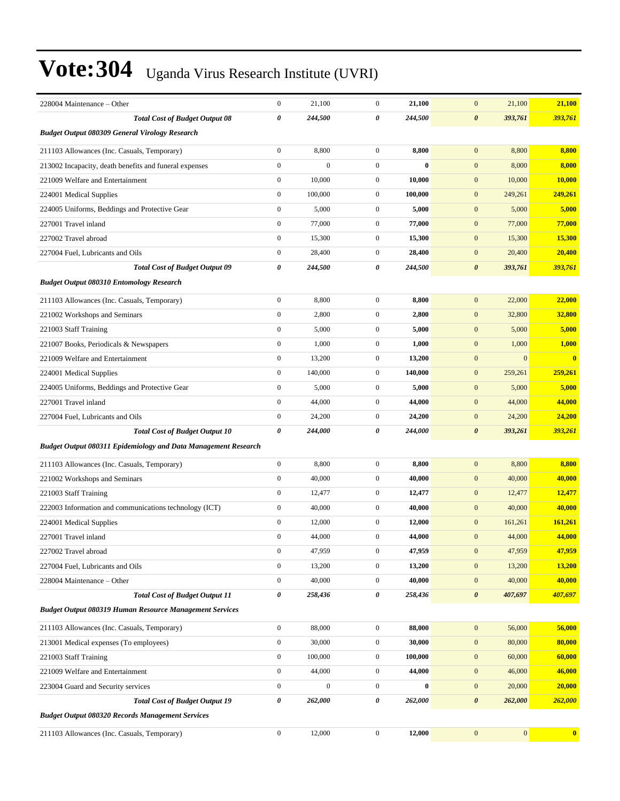| 228004 Maintenance - Other                                            | $\boldsymbol{0}$      | 21,100           | $\overline{0}$   | 21,100   | 21,100<br>$\mathbf{0}$           | 21,100           |
|-----------------------------------------------------------------------|-----------------------|------------------|------------------|----------|----------------------------------|------------------|
| <b>Total Cost of Budget Output 08</b>                                 | $\boldsymbol{\theta}$ | 244,500          | 0                | 244,500  | $\boldsymbol{\theta}$<br>393,761 | 393,761          |
| <b>Budget Output 080309 General Virology Research</b>                 |                       |                  |                  |          |                                  |                  |
| 211103 Allowances (Inc. Casuals, Temporary)                           | $\boldsymbol{0}$      | 8,800            | $\overline{0}$   | 8,800    | 8,800<br>$\mathbf{0}$            | 8,800            |
| 213002 Incapacity, death benefits and funeral expenses                | $\mathbf{0}$          | $\mathbf{0}$     | $\overline{0}$   | $\bf{0}$ | $\mathbf{0}$<br>8,000            | 8,000            |
| 221009 Welfare and Entertainment                                      | $\boldsymbol{0}$      | 10,000           | $\mathbf{0}$     | 10,000   | $\mathbf{0}$<br>10,000           | 10,000           |
| 224001 Medical Supplies                                               | $\boldsymbol{0}$      | 100,000          | $\overline{0}$   | 100,000  | $\mathbf{0}$<br>249,261          | 249,261          |
| 224005 Uniforms, Beddings and Protective Gear                         | $\mathbf{0}$          | 5,000            | $\mathbf{0}$     | 5,000    | $\mathbf{0}$<br>5,000            | 5,000            |
| 227001 Travel inland                                                  | $\boldsymbol{0}$      | 77,000           | $\mathbf{0}$     | 77,000   | $\mathbf{0}$<br>77,000           | 77,000           |
| 227002 Travel abroad                                                  | $\boldsymbol{0}$      | 15,300           | $\mathbf{0}$     | 15,300   | $\mathbf{0}$<br>15,300           | 15,300           |
| 227004 Fuel, Lubricants and Oils                                      | $\boldsymbol{0}$      | 28,400           | $\mathbf{0}$     | 28,400   | $\mathbf{0}$<br>20,400           | 20,400           |
| <b>Total Cost of Budget Output 09</b>                                 | $\boldsymbol{\theta}$ | 244,500          | 0                | 244,500  | $\boldsymbol{\theta}$<br>393,761 | 393,761          |
| <b>Budget Output 080310 Entomology Research</b>                       |                       |                  |                  |          |                                  |                  |
| 211103 Allowances (Inc. Casuals, Temporary)                           | $\boldsymbol{0}$      | 8,800            | $\mathbf{0}$     | 8,800    | $\mathbf{0}$<br>22,000           | 22,000           |
| 221002 Workshops and Seminars                                         | $\boldsymbol{0}$      | 2,800            | $\overline{0}$   | 2,800    | $\mathbf{0}$<br>32,800           | 32,800           |
| 221003 Staff Training                                                 | $\boldsymbol{0}$      | 5,000            | $\overline{0}$   | 5,000    | $\mathbf{0}$<br>5,000            | 5,000            |
| 221007 Books, Periodicals & Newspapers                                | $\boldsymbol{0}$      | 1,000            | $\overline{0}$   | 1,000    | $\mathbf{0}$<br>1,000            | 1,000            |
| 221009 Welfare and Entertainment                                      | $\boldsymbol{0}$      | 13,200           | $\mathbf{0}$     | 13,200   | $\mathbf{0}$<br>$\mathbf{0}$     | $\bf{0}$         |
| 224001 Medical Supplies                                               | $\boldsymbol{0}$      | 140,000          | $\mathbf{0}$     | 140,000  | $\mathbf{0}$<br>259,261          | 259,261          |
| 224005 Uniforms, Beddings and Protective Gear                         | $\boldsymbol{0}$      | 5,000            | $\mathbf{0}$     | 5,000    | $\mathbf{0}$<br>5,000            | 5,000            |
| 227001 Travel inland                                                  | $\boldsymbol{0}$      | 44,000           | $\overline{0}$   | 44,000   | $\mathbf{0}$<br>44,000           | 44,000           |
| 227004 Fuel, Lubricants and Oils                                      | $\boldsymbol{0}$      | 24,200           | $\mathbf{0}$     | 24,200   | $\mathbf{0}$<br>24,200           | 24,200           |
| <b>Total Cost of Budget Output 10</b>                                 | $\boldsymbol{\theta}$ | 244,000          | 0                | 244,000  | $\boldsymbol{\theta}$<br>393,261 | 393,261          |
| <b>Budget Output 080311 Epidemiology and Data Management Research</b> |                       |                  |                  |          |                                  |                  |
| 211103 Allowances (Inc. Casuals, Temporary)                           | $\mathbf{0}$          | 8,800            | $\overline{0}$   | 8,800    | $\mathbf{0}$<br>8,800            | 8,800            |
| 221002 Workshops and Seminars                                         | $\boldsymbol{0}$      | 40,000           | $\mathbf{0}$     | 40,000   | $\mathbf{0}$<br>40,000           | 40,000           |
| 221003 Staff Training                                                 | $\mathbf{0}$          | 12,477           | $\overline{0}$   | 12,477   | $\mathbf{0}$<br>12,477           | 12,477           |
| 222003 Information and communications technology (ICT)                | $\boldsymbol{0}$      | 40,000           | $\mathbf{0}$     | 40,000   | $\mathbf{0}$<br>40,000           | 40,000           |
| 224001 Medical Supplies                                               | $\boldsymbol{0}$      | 12,000           | $\mathbf{0}$     | 12,000   | $\mathbf{0}$<br>161,261          | 161,261          |
| 227001 Travel inland                                                  | $\boldsymbol{0}$      | 44,000           | $\mathbf{0}$     | 44,000   | $\mathbf{0}$<br>44,000           | 44,000           |
| 227002 Travel abroad                                                  | $\boldsymbol{0}$      | 47,959           | $\boldsymbol{0}$ | 47,959   | 47,959<br>$\mathbf{0}$           | 47,959           |
| 227004 Fuel, Lubricants and Oils                                      | $\boldsymbol{0}$      | 13,200           | $\boldsymbol{0}$ | 13,200   | $\mathbf{0}$<br>13,200           | 13,200           |
| 228004 Maintenance – Other                                            | $\boldsymbol{0}$      | 40,000           | $\boldsymbol{0}$ | 40,000   | $\mathbf{0}$<br>40,000           | 40,000           |
| <b>Total Cost of Budget Output 11</b>                                 | $\pmb{\theta}$        | 258,436          | 0                | 258,436  | 407,697<br>$\boldsymbol{\theta}$ | 407,697          |
| <b>Budget Output 080319 Human Resource Management Services</b>        |                       |                  |                  |          |                                  |                  |
| 211103 Allowances (Inc. Casuals, Temporary)                           | $\boldsymbol{0}$      | 88,000           | $\boldsymbol{0}$ | 88,000   | $\mathbf{0}$<br>56,000           | 56,000           |
| 213001 Medical expenses (To employees)                                | $\boldsymbol{0}$      | 30,000           | $\boldsymbol{0}$ | 30,000   | $\mathbf{0}$<br>80,000           | 80,000           |
| 221003 Staff Training                                                 | $\boldsymbol{0}$      | 100,000          | $\boldsymbol{0}$ | 100,000  | $\mathbf{0}$<br>60,000           | 60,000           |
| 221009 Welfare and Entertainment                                      | $\mathbf{0}$          | 44,000           | $\boldsymbol{0}$ | 44,000   | $\mathbf{0}$<br>46,000           | 46,000           |
| 223004 Guard and Security services                                    | $\boldsymbol{0}$      | $\boldsymbol{0}$ | $\boldsymbol{0}$ | $\bf{0}$ | $\mathbf{0}$<br>20,000           | 20,000           |
| <b>Total Cost of Budget Output 19</b>                                 | $\pmb{\theta}$        | 262,000          | 0                | 262,000  | $\boldsymbol{\theta}$<br>262,000 | 262,000          |
| <b>Budget Output 080320 Records Management Services</b>               |                       |                  |                  |          |                                  |                  |
| 211103 Allowances (Inc. Casuals, Temporary)                           | $\boldsymbol{0}$      | 12,000           | $\boldsymbol{0}$ | 12,000   | $\boldsymbol{0}$<br>$\mathbf{0}$ | $\boldsymbol{0}$ |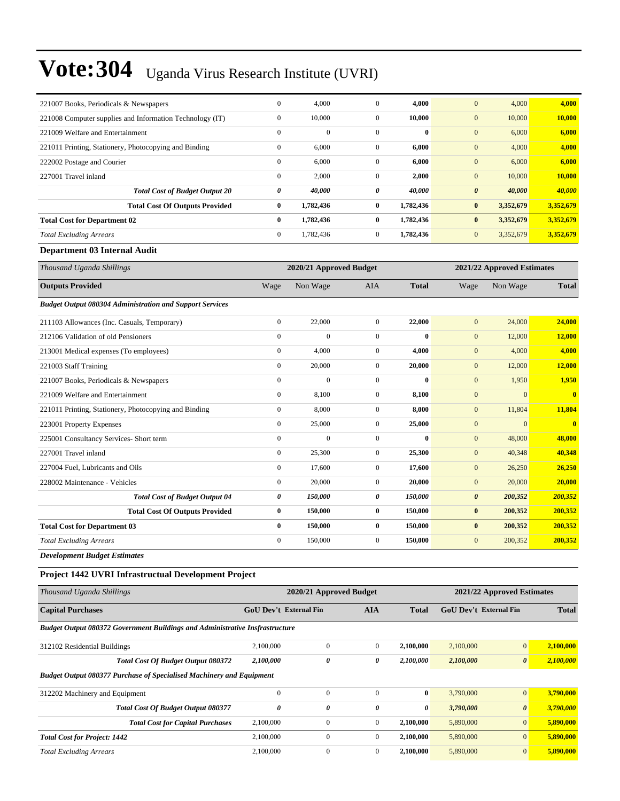| 221007 Books, Periodicals & Newspapers                   | $\mathbf{0}$ | 4,000        | $\mathbf{0}$   | 4,000        | 4,000<br>$\mathbf{0}$           | 4,000     |
|----------------------------------------------------------|--------------|--------------|----------------|--------------|---------------------------------|-----------|
| 221008 Computer supplies and Information Technology (IT) | $\mathbf{0}$ | 10,000       | $\Omega$       | 10,000       | 10,000<br>$\mathbf{0}$          | 10,000    |
| 221009 Welfare and Entertainment                         | $\Omega$     | $\mathbf{0}$ | $\Omega$       | $\mathbf{0}$ | $\mathbf{0}$<br>6,000           | 6,000     |
| 221011 Printing, Stationery, Photocopying and Binding    | $\mathbf{0}$ | 6,000        | $\Omega$       | 6,000        | $\mathbf{0}$<br>4,000           | 4,000     |
| 222002 Postage and Courier                               | $\mathbf{0}$ | 6,000        | $\mathbf{0}$   | 6,000        | $\mathbf{0}$<br>6,000           | 6,000     |
| 227001 Travel inland                                     | $\mathbf{0}$ | 2,000        | $\mathbf{0}$   | 2,000        | 10,000<br>$\mathbf{0}$          | 10,000    |
| <b>Total Cost of Budget Output 20</b>                    | 0            | 40,000       | 0              | 40.000       | 40,000<br>$\boldsymbol{\theta}$ | 40,000    |
| <b>Total Cost Of Outputs Provided</b>                    | $\bf{0}$     | 1,782,436    | $\bf{0}$       | 1,782,436    | $\bf{0}$<br>3,352,679           | 3,352,679 |
| <b>Total Cost for Department 02</b>                      | $\bf{0}$     | 1,782,436    | 0              | 1,782,436    | $\bf{0}$<br>3,352,679           | 3,352,679 |
| <b>Total Excluding Arrears</b>                           | $\mathbf{0}$ | 1,782,436    | $\overline{0}$ | 1,782,436    | $\mathbf{0}$<br>3,352,679       | 3,352,679 |

#### **Department 03 Internal Audit**

| Thousand Uganda Shillings                                       |                  | 2020/21 Approved Budget |                |              |                       | 2021/22 Approved Estimates |                         |
|-----------------------------------------------------------------|------------------|-------------------------|----------------|--------------|-----------------------|----------------------------|-------------------------|
| <b>Outputs Provided</b>                                         | Wage             | Non Wage                | <b>AIA</b>     | <b>Total</b> | Wage                  | Non Wage                   | <b>Total</b>            |
| <b>Budget Output 080304 Administration and Support Services</b> |                  |                         |                |              |                       |                            |                         |
| 211103 Allowances (Inc. Casuals, Temporary)                     | $\boldsymbol{0}$ | 22,000                  | $\mathbf{0}$   | 22,000       | $\mathbf{0}$          | 24,000                     | 24,000                  |
| 212106 Validation of old Pensioners                             | $\mathbf{0}$     | $\mathbf{0}$            | $\overline{0}$ | $\bf{0}$     | $\overline{0}$        | 12,000                     | <b>12,000</b>           |
| 213001 Medical expenses (To employees)                          | $\mathbf{0}$     | 4,000                   | $\overline{0}$ | 4,000        | $\mathbf{0}$          | 4,000                      | 4,000                   |
| 221003 Staff Training                                           | $\mathbf{0}$     | 20,000                  | $\overline{0}$ | 20,000       | $\mathbf{0}$          | 12,000                     | 12,000                  |
| 221007 Books, Periodicals & Newspapers                          | $\boldsymbol{0}$ | $\mathbf{0}$            | $\overline{0}$ | $\mathbf{0}$ | $\mathbf{0}$          | 1,950                      | 1,950                   |
| 221009 Welfare and Entertainment                                | $\mathbf{0}$     | 8,100                   | $\mathbf{0}$   | 8,100        | $\boldsymbol{0}$      | $\overline{0}$             | $\mathbf{0}$            |
| 221011 Printing, Stationery, Photocopying and Binding           | $\mathbf{0}$     | 8,000                   | $\overline{0}$ | 8,000        | $\mathbf{0}$          | 11,804                     | 11,804                  |
| 223001 Property Expenses                                        | $\mathbf{0}$     | 25,000                  | $\overline{0}$ | 25,000       | $\mathbf{0}$          | $\overline{0}$             | $\overline{\mathbf{0}}$ |
| 225001 Consultancy Services- Short term                         | $\mathbf{0}$     | $\mathbf{0}$            | $\overline{0}$ | $\bf{0}$     | $\mathbf{0}$          | 48,000                     | 48,000                  |
| 227001 Travel inland                                            | $\boldsymbol{0}$ | 25,300                  | $\overline{0}$ | 25,300       | $\mathbf{0}$          | 40,348                     | 40,348                  |
| 227004 Fuel, Lubricants and Oils                                | $\mathbf{0}$     | 17,600                  | $\mathbf{0}$   | 17,600       | $\mathbf{0}$          | 26,250                     | 26,250                  |
| 228002 Maintenance - Vehicles                                   | $\mathbf{0}$     | 20,000                  | $\overline{0}$ | 20,000       | $\mathbf{0}$          | 20,000                     | 20,000                  |
| <b>Total Cost of Budget Output 04</b>                           | 0                | 150,000                 | 0              | 150,000      | $\boldsymbol{\theta}$ | 200,352                    | 200,352                 |
| <b>Total Cost Of Outputs Provided</b>                           | $\bf{0}$         | 150,000                 | $\bf{0}$       | 150,000      | $\bf{0}$              | 200,352                    | 200,352                 |
| <b>Total Cost for Department 03</b>                             | $\bf{0}$         | 150,000                 | $\bf{0}$       | 150,000      | $\bf{0}$              | 200,352                    | 200,352                 |
| <b>Total Excluding Arrears</b>                                  | $\boldsymbol{0}$ | 150,000                 | 0              | 150,000      | $\mathbf{0}$          | 200,352                    | 200,352                 |
| <b>Development Budget Estimates</b>                             |                  |                         |                |              |                       |                            |                         |

#### **Project 1442 UVRI Infrastructual Development Project**

| Thousand Uganda Shillings                                                           |                                                                                              | 2020/21 Approved Budget |                |              | 2021/22 Approved Estimates |                       |           |  |  |  |
|-------------------------------------------------------------------------------------|----------------------------------------------------------------------------------------------|-------------------------|----------------|--------------|----------------------------|-----------------------|-----------|--|--|--|
| <b>Capital Purchases</b>                                                            | <b>GoU Dev't External Fin</b><br><b>GoU</b> Dev't External Fin<br><b>AIA</b><br><b>Total</b> |                         |                | <b>Total</b> |                            |                       |           |  |  |  |
| <b>Budget Output 080372 Government Buildings and Administrative Insfrastructure</b> |                                                                                              |                         |                |              |                            |                       |           |  |  |  |
| 312102 Residential Buildings                                                        | 2,100,000                                                                                    | $\Omega$                | $\overline{0}$ | 2,100,000    | 2,100,000                  | $\mathbf{0}$          | 2,100,000 |  |  |  |
| <b>Total Cost Of Budget Output 080372</b>                                           | 2,100,000                                                                                    | 0                       | 0              | 2,100,000    | 2,100,000                  | $\boldsymbol{\theta}$ | 2,100,000 |  |  |  |
| <b>Budget Output 080377 Purchase of Specialised Machinery and Equipment</b>         |                                                                                              |                         |                |              |                            |                       |           |  |  |  |
| 312202 Machinery and Equipment                                                      | $\mathbf{0}$                                                                                 | $\Omega$                | $\Omega$       | $\bf{0}$     | 3,790,000                  | $\overline{0}$        | 3,790,000 |  |  |  |
| <b>Total Cost Of Budget Output 080377</b>                                           | 0                                                                                            | 0                       | $\theta$       | 0            | 3,790,000                  | $\theta$              | 3,790,000 |  |  |  |
| <b>Total Cost for Capital Purchases</b>                                             | 2,100,000                                                                                    | $\mathbf{0}$            | $\mathbf{0}$   | 2.100.000    | 5,890,000                  | $\overline{0}$        | 5,890,000 |  |  |  |
| <b>Total Cost for Project: 1442</b>                                                 | 2,100,000                                                                                    | $\Omega$                | $\overline{0}$ | 2,100,000    | 5,890,000                  | $\overline{0}$        | 5,890,000 |  |  |  |
| <b>Total Excluding Arrears</b>                                                      | 2,100,000                                                                                    | $\mathbf{0}$            | $\mathbf{0}$   | 2.100.000    | 5,890,000                  | $\overline{0}$        | 5,890,000 |  |  |  |